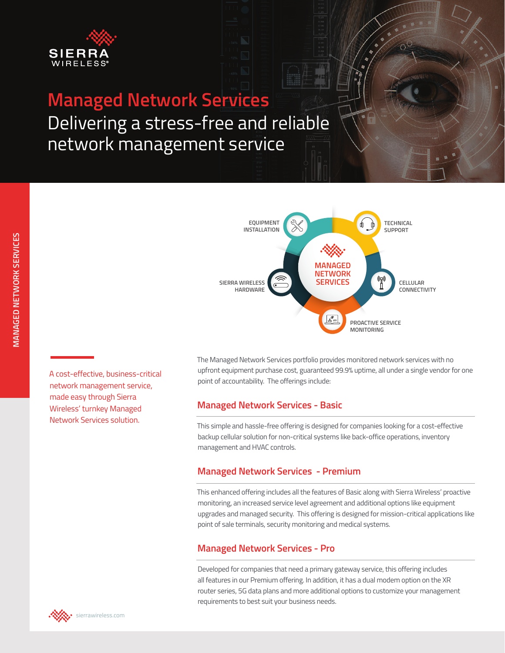

# **Managed Network Services**

Delivering a stress-free and reliable network management service



A cost-effective, business-critical network management service, made easy through Sierra Wireless' turnkey Managed Network Services solution.

The Managed Network Services portfolio provides monitored network services with no upfront equipment purchase cost, guaranteed 99.9% uptime, all under a single vendor for one point of accountability. The offerings include:

## **Managed Network Services - Basic**

This simple and hassle-free offering is designed for companies looking for a cost-effective backup cellular solution for non-critical systems like back-office operations, inventory management and HVAC controls.

## **Managed Network Services - Premium**

This enhanced offering includes all the features of Basic along with Sierra Wireless' proactive monitoring, an increased service level agreement and additional options like equipment upgrades and managed security. This offering is designed for mission-critical applications like point of sale terminals, security monitoring and medical systems.

## **Managed Network Services - Pro**

Developed for companies that need a primary gateway service, this offering includes all features in our Premium offering. In addition, it has a dual modem option on the XR router series, 5G data plans and more additional options to customize your management requirements to best suit your business needs.